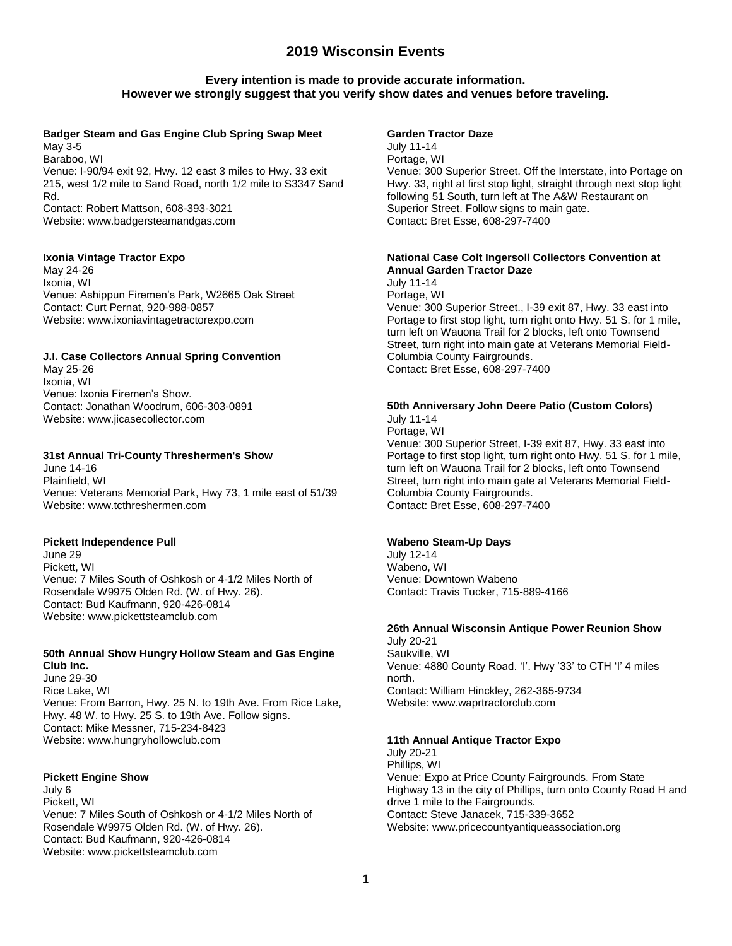# **Every intention is made to provide accurate information. However we strongly suggest that you verify show dates and venues before traveling.**

# **Badger Steam and Gas Engine Club Spring Swap Meet**

May 3-5 Baraboo, WI Venue: I-90/94 exit 92, Hwy. 12 east 3 miles to Hwy. 33 exit 215, west 1/2 mile to Sand Road, north 1/2 mile to S3347 Sand Rd. Contact: Robert Mattson, 608-393-3021 Website: www.badgersteamandgas.com

## **Ixonia Vintage Tractor Expo**

May 24-26 Ixonia, WI Venue: Ashippun Firemen's Park, W2665 Oak Street Contact: Curt Pernat, 920-988-0857 Website: www.ixoniavintagetractorexpo.com

# **J.I. Case Collectors Annual Spring Convention**

May 25-26 Ixonia, WI Venue: Ixonia Firemen's Show. Contact: Jonathan Woodrum, 606-303-0891 Website: www.jicasecollector.com

# **31st Annual Tri-County Threshermen's Show**

June 14-16 Plainfield, WI Venue: Veterans Memorial Park, Hwy 73, 1 mile east of 51/39 Website: www.tcthreshermen.com

## **Pickett Independence Pull**

June 29 Pickett, WI Venue: 7 Miles South of Oshkosh or 4-1/2 Miles North of Rosendale W9975 Olden Rd. (W. of Hwy. 26). Contact: Bud Kaufmann, 920-426-0814 Website: www.pickettsteamclub.com

## **50th Annual Show Hungry Hollow Steam and Gas Engine Club Inc.**

June 29-30 Rice Lake, WI Venue: From Barron, Hwy. 25 N. to 19th Ave. From Rice Lake, Hwy. 48 W. to Hwy. 25 S. to 19th Ave. Follow signs. Contact: Mike Messner, 715-234-8423 Website: www.hungryhollowclub.com

# **Pickett Engine Show**

July 6 Pickett, WI Venue: 7 Miles South of Oshkosh or 4-1/2 Miles North of Rosendale W9975 Olden Rd. (W. of Hwy. 26). Contact: Bud Kaufmann, 920-426-0814 Website: www.pickettsteamclub.com

## **Garden Tractor Daze**

July 11-14 Portage, WI Venue: 300 Superior Street. Off the Interstate, into Portage on Hwy. 33, right at first stop light, straight through next stop light following 51 South, turn left at The A&W Restaurant on Superior Street. Follow signs to main gate. Contact: Bret Esse, 608-297-7400

#### **National Case Colt Ingersoll Collectors Convention at Annual Garden Tractor Daze**

July 11-14 Portage, WI Venue: 300 Superior Street., I-39 exit 87, Hwy. 33 east into Portage to first stop light, turn right onto Hwy. 51 S. for 1 mile, turn left on Wauona Trail for 2 blocks, left onto Townsend Street, turn right into main gate at Veterans Memorial Field-Columbia County Fairgrounds. Contact: Bret Esse, 608-297-7400

# **50th Anniversary John Deere Patio (Custom Colors)**

July 11-14 Portage, WI Venue: 300 Superior Street, I-39 exit 87, Hwy. 33 east into Portage to first stop light, turn right onto Hwy. 51 S. for 1 mile, turn left on Wauona Trail for 2 blocks, left onto Townsend Street, turn right into main gate at Veterans Memorial Field-Columbia County Fairgrounds. Contact: Bret Esse, 608-297-7400

## **Wabeno Steam-Up Days**

July 12-14 Wabeno, WI Venue: Downtown Wabeno Contact: Travis Tucker, 715-889-4166

# **26th Annual Wisconsin Antique Power Reunion Show**

July 20-21 Saukville, WI Venue: 4880 County Road. 'I'. Hwy '33' to CTH 'I' 4 miles north. Contact: William Hinckley, 262-365-9734 Website: www.waprtractorclub.com

## **11th Annual Antique Tractor Expo**

July 20-21 Phillips, WI Venue: Expo at Price County Fairgrounds. From State Highway 13 in the city of Phillips, turn onto County Road H and drive 1 mile to the Fairgrounds. Contact: Steve Janacek, 715-339-3652 Website: www.pricecountyantiqueassociation.org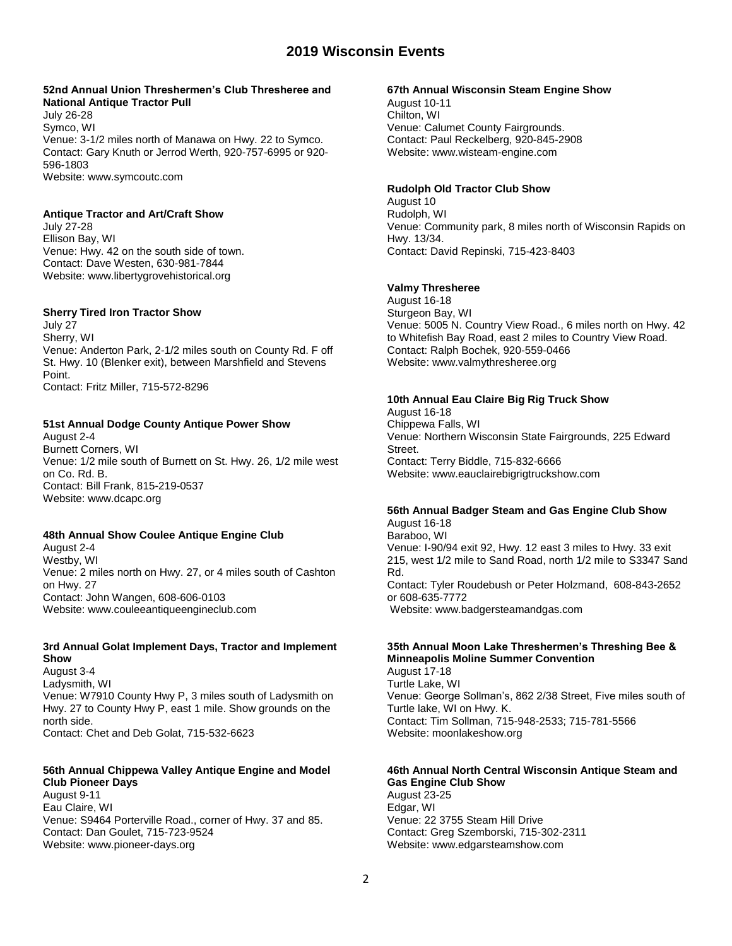## **52nd Annual Union Threshermen's Club Thresheree and National Antique Tractor Pull**

July 26-28 Symco, WI Venue: 3-1/2 miles north of Manawa on Hwy. 22 to Symco. Contact: Gary Knuth or Jerrod Werth, 920-757-6995 or 920- 596-1803 Website: www.symcoutc.com

## **Antique Tractor and Art/Craft Show**

July 27-28 Ellison Bay, WI Venue: Hwy. 42 on the south side of town. Contact: Dave Westen, 630-981-7844 Website: www.libertygrovehistorical.org

## **Sherry Tired Iron Tractor Show**

July 27 Sherry, WI Venue: Anderton Park, 2-1/2 miles south on County Rd. F off St. Hwy. 10 (Blenker exit), between Marshfield and Stevens Point. Contact: Fritz Miller, 715-572-8296

## **51st Annual Dodge County Antique Power Show**

August 2-4 Burnett Corners, WI Venue: 1/2 mile south of Burnett on St. Hwy. 26, 1/2 mile west on Co. Rd. B. Contact: Bill Frank, 815-219-0537 Website: www.dcapc.org

## **48th Annual Show Coulee Antique Engine Club**

August 2-4 Westby, WI Venue: 2 miles north on Hwy. 27, or 4 miles south of Cashton on Hwy. 27 Contact: John Wangen, 608-606-0103 Website: www.couleeantiqueengineclub.com

## **3rd Annual Golat Implement Days, Tractor and Implement Show**

August 3-4 Ladysmith, WI Venue: W7910 County Hwy P, 3 miles south of Ladysmith on Hwy. 27 to County Hwy P, east 1 mile. Show grounds on the north side. Contact: Chet and Deb Golat, 715-532-6623

## **56th Annual Chippewa Valley Antique Engine and Model Club Pioneer Days**

August 9-11 Eau Claire, WI Venue: S9464 Porterville Road., corner of Hwy. 37 and 85. Contact: Dan Goulet, 715-723-9524 Website: www.pioneer-days.org

## **67th Annual Wisconsin Steam Engine Show**

August 10-11 Chilton, WI Venue: Calumet County Fairgrounds. Contact: Paul Reckelberg, 920-845-2908 Website: www.wisteam-engine.com

### **Rudolph Old Tractor Club Show**

August 10 Rudolph, WI Venue: Community park, 8 miles north of Wisconsin Rapids on Hwy. 13/34. Contact: David Repinski, 715-423-8403

# **Valmy Thresheree**

August 16-18 Sturgeon Bay, WI Venue: 5005 N. Country View Road., 6 miles north on Hwy. 42 to Whitefish Bay Road, east 2 miles to Country View Road. Contact: Ralph Bochek, 920-559-0466 Website: www.valmythresheree.org

### **10th Annual Eau Claire Big Rig Truck Show**

August 16-18 Chippewa Falls, WI Venue: Northern Wisconsin State Fairgrounds, 225 Edward Street. Contact: Terry Biddle, 715-832-6666 Website: www.eauclairebigrigtruckshow.com

# **56th Annual Badger Steam and Gas Engine Club Show**

August 16-18 Baraboo, WI Venue: I-90/94 exit 92, Hwy. 12 east 3 miles to Hwy. 33 exit 215, west 1/2 mile to Sand Road, north 1/2 mile to S3347 Sand Rd. Contact: Tyler Roudebush or Peter Holzmand, 608-843-2652 or 608-635-7772 Website: www.badgersteamandgas.com

### **35th Annual Moon Lake Threshermen's Threshing Bee & Minneapolis Moline Summer Convention**

August 17-18 Turtle Lake, WI Venue: George Sollman's, 862 2/38 Street, Five miles south of Turtle lake, WI on Hwy. K. Contact: Tim Sollman, 715-948-2533; 715-781-5566 Website: moonlakeshow.org

#### **46th Annual North Central Wisconsin Antique Steam and Gas Engine Club Show**

August 23-25 Edgar, WI Venue: 22 3755 Steam Hill Drive Contact: Greg Szemborski, 715-302-2311 Website: www.edgarsteamshow.com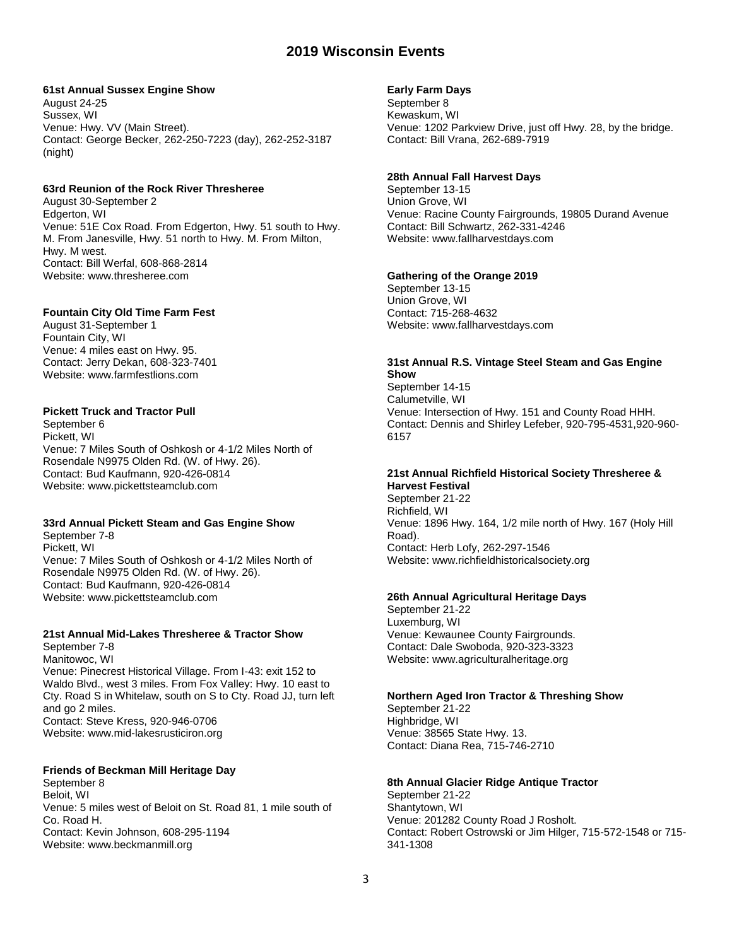## **61st Annual Sussex Engine Show**

August 24-25 Sussex, WI Venue: Hwy. VV (Main Street). Contact: George Becker, 262-250-7223 (day), 262-252-3187 (night)

## **63rd Reunion of the Rock River Thresheree**

August 30-September 2 Edgerton, WI Venue: 51E Cox Road. From Edgerton, Hwy. 51 south to Hwy. M. From Janesville, Hwy. 51 north to Hwy. M. From Milton, Hwy. M west. Contact: Bill Werfal, 608-868-2814 Website: www.thresheree.com

#### **Fountain City Old Time Farm Fest**

August 31-September 1 Fountain City, WI Venue: 4 miles east on Hwy. 95. Contact: Jerry Dekan, 608-323-7401 Website: www.farmfestlions.com

## **Pickett Truck and Tractor Pull**

September 6 Pickett, WI Venue: 7 Miles South of Oshkosh or 4-1/2 Miles North of Rosendale N9975 Olden Rd. (W. of Hwy. 26). Contact: Bud Kaufmann, 920-426-0814 Website: www.pickettsteamclub.com

### **33rd Annual Pickett Steam and Gas Engine Show**

September 7-8 Pickett, WI Venue: 7 Miles South of Oshkosh or 4-1/2 Miles North of Rosendale N9975 Olden Rd. (W. of Hwy. 26). Contact: Bud Kaufmann, 920-426-0814 Website: www.pickettsteamclub.com

## **21st Annual Mid-Lakes Thresheree & Tractor Show**

September 7-8 Manitowoc, WI Venue: Pinecrest Historical Village. From I-43: exit 152 to Waldo Blvd., west 3 miles. From Fox Valley: Hwy. 10 east to Cty. Road S in Whitelaw, south on S to Cty. Road JJ, turn left and go 2 miles. Contact: Steve Kress, 920-946-0706 Website: www.mid-lakesrusticiron.org

### **Friends of Beckman Mill Heritage Day**

September 8 Beloit, WI Venue: 5 miles west of Beloit on St. Road 81, 1 mile south of Co. Road H. Contact: Kevin Johnson, 608-295-1194 Website: www.beckmanmill.org

# **Early Farm Days**

September 8 Kewaskum, WI Venue: 1202 Parkview Drive, just off Hwy. 28, by the bridge. Contact: Bill Vrana, 262-689-7919

## **28th Annual Fall Harvest Days**

September 13-15 Union Grove, WI Venue: Racine County Fairgrounds, 19805 Durand Avenue Contact: Bill Schwartz, 262-331-4246 Website: www.fallharvestdays.com

# **Gathering of the Orange 2019**

September 13-15 Union Grove, WI Contact: 715-268-4632 Website: www.fallharvestdays.com

## **31st Annual R.S. Vintage Steel Steam and Gas Engine Show**

September 14-15 Calumetville, WI Venue: Intersection of Hwy. 151 and County Road HHH. Contact: Dennis and Shirley Lefeber, 920-795-4531,920-960- 6157

#### **21st Annual Richfield Historical Society Thresheree & Harvest Festival**

September 21-22 Richfield, WI Venue: 1896 Hwy. 164, 1/2 mile north of Hwy. 167 (Holy Hill Road). Contact: Herb Lofy, 262-297-1546 Website: www.richfieldhistoricalsociety.org

## **26th Annual Agricultural Heritage Days**

September 21-22 Luxemburg, WI Venue: Kewaunee County Fairgrounds. Contact: Dale Swoboda, 920-323-3323 Website: www.agriculturalheritage.org

#### **Northern Aged Iron Tractor & Threshing Show**

September 21-22 Highbridge, WI Venue: 38565 State Hwy. 13. Contact: Diana Rea, 715-746-2710

#### **8th Annual Glacier Ridge Antique Tractor**

September 21-22 Shantytown, WI Venue: 201282 County Road J Rosholt. Contact: Robert Ostrowski or Jim Hilger, 715-572-1548 or 715- 341-1308